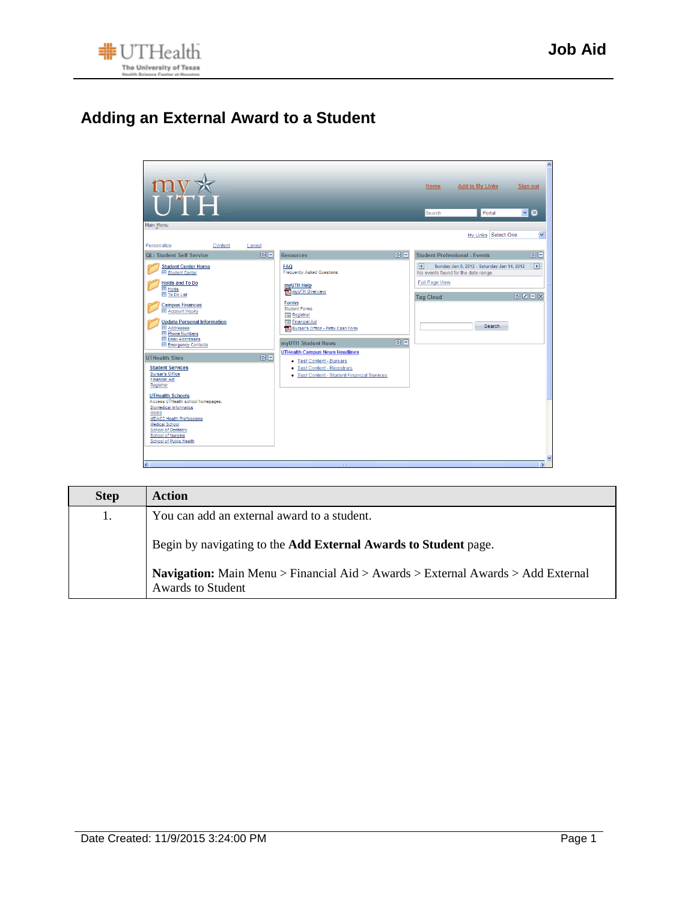

## **Adding an External Award to a Student**



| <b>Step</b> | Action                                                                                                             |
|-------------|--------------------------------------------------------------------------------------------------------------------|
| 1.          | You can add an external award to a student.                                                                        |
|             | Begin by navigating to the <b>Add External Awards to Student</b> page.                                             |
|             | <b>Navigation:</b> Main Menu > Financial Aid > Awards > External Awards > Add External<br><b>Awards to Student</b> |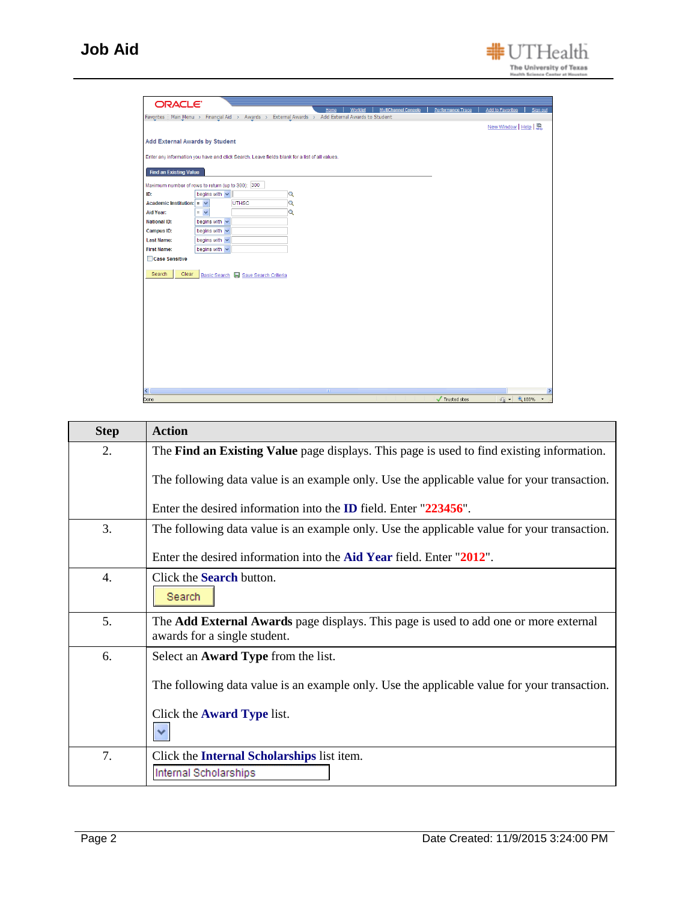| <b>ORACLE</b>                                     |                                      |                                                                                                   |                         |      |                 |                             |                   |                           |               |
|---------------------------------------------------|--------------------------------------|---------------------------------------------------------------------------------------------------|-------------------------|------|-----------------|-----------------------------|-------------------|---------------------------|---------------|
|                                                   |                                      | Favorites   Main Menu > Financial Aid > Awards > External Awards > Add External Awards to Student |                         | Home | <b>Worklist</b> | <b>MultiChannel Console</b> | Performance Trace | <b>Add to Favorites</b>   | Sign out      |
|                                                   |                                      |                                                                                                   |                         |      |                 |                             |                   | New Window   Help   黑     |               |
|                                                   |                                      |                                                                                                   |                         |      |                 |                             |                   |                           |               |
| <b>Add External Awards by Student</b>             |                                      |                                                                                                   |                         |      |                 |                             |                   |                           |               |
|                                                   |                                      | Enter any information you have and click Search. Leave fields blank for a list of all values.     |                         |      |                 |                             |                   |                           |               |
|                                                   |                                      |                                                                                                   |                         |      |                 |                             |                   |                           |               |
| <b>Find an Existing Value</b>                     |                                      |                                                                                                   |                         |      |                 |                             |                   |                           |               |
| Maximum number of rows to return (up to 300): 300 |                                      |                                                                                                   |                         |      |                 |                             |                   |                           |               |
| ID:                                               | begins with $\vert \mathbf{v} \vert$ |                                                                                                   | $\alpha$                |      |                 |                             |                   |                           |               |
| Academic Institution: $=$ $\sqrt{}$               |                                      | <b>UTHSC</b>                                                                                      | $\overline{Q}$          |      |                 |                             |                   |                           |               |
| Aid Year:                                         | $=$ $\vee$                           |                                                                                                   | $\overline{\mathbf{Q}}$ |      |                 |                             |                   |                           |               |
| <b>National ID:</b>                               | begins with v                        |                                                                                                   |                         |      |                 |                             |                   |                           |               |
| Campus ID:                                        | begins with $\vee$                   |                                                                                                   |                         |      |                 |                             |                   |                           |               |
| <b>Last Name:</b>                                 | begins with $\vee$                   |                                                                                                   |                         |      |                 |                             |                   |                           |               |
| <b>First Name:</b>                                | begins with $\sqrt{}$                |                                                                                                   |                         |      |                 |                             |                   |                           |               |
| □ Case Sensitive                                  |                                      |                                                                                                   |                         |      |                 |                             |                   |                           |               |
| Search<br>Clear                                   |                                      |                                                                                                   |                         |      |                 |                             |                   |                           |               |
|                                                   |                                      | Basic Search & Save Search Criteria                                                               |                         |      |                 |                             |                   |                           |               |
|                                                   |                                      |                                                                                                   |                         |      |                 |                             |                   |                           |               |
|                                                   |                                      |                                                                                                   |                         |      |                 |                             |                   |                           |               |
|                                                   |                                      |                                                                                                   |                         |      |                 |                             |                   |                           |               |
|                                                   |                                      |                                                                                                   |                         |      |                 |                             |                   |                           |               |
|                                                   |                                      |                                                                                                   |                         |      |                 |                             |                   |                           |               |
|                                                   |                                      |                                                                                                   |                         |      |                 |                             |                   |                           |               |
|                                                   |                                      |                                                                                                   |                         |      |                 |                             |                   |                           |               |
|                                                   |                                      |                                                                                                   |                         |      |                 |                             |                   |                           |               |
|                                                   |                                      |                                                                                                   |                         |      |                 |                             |                   |                           |               |
|                                                   |                                      |                                                                                                   |                         |      |                 |                             |                   |                           |               |
|                                                   |                                      |                                                                                                   |                         |      |                 |                             |                   |                           |               |
| $\left  \cdot \right $                            |                                      |                                                                                                   |                         |      |                 |                             |                   |                           | $\rightarrow$ |
| Done                                              |                                      |                                                                                                   |                         |      |                 |                             | Trusted sites     | $\frac{1}{10}$ - Q 100% - |               |

| <b>Step</b>      | <b>Action</b>                                                                                                               |
|------------------|-----------------------------------------------------------------------------------------------------------------------------|
| 2.               | The Find an Existing Value page displays. This page is used to find existing information.                                   |
|                  | The following data value is an example only. Use the applicable value for your transaction.                                 |
|                  | Enter the desired information into the <b>ID</b> field. Enter "223456".                                                     |
| 3.               | The following data value is an example only. Use the applicable value for your transaction.                                 |
|                  | Enter the desired information into the Aid Year field. Enter "2012".                                                        |
| $\overline{4}$ . | Click the <b>Search</b> button.<br>Search                                                                                   |
| 5.               | The <b>Add External Awards</b> page displays. This page is used to add one or more external<br>awards for a single student. |
| 6.               | Select an <b>Award Type</b> from the list.                                                                                  |
|                  | The following data value is an example only. Use the applicable value for your transaction.                                 |
|                  | Click the <b>Award Type</b> list.                                                                                           |
| 7.               | Click the <b>Internal Scholarships</b> list item.                                                                           |
|                  | Internal Scholarships                                                                                                       |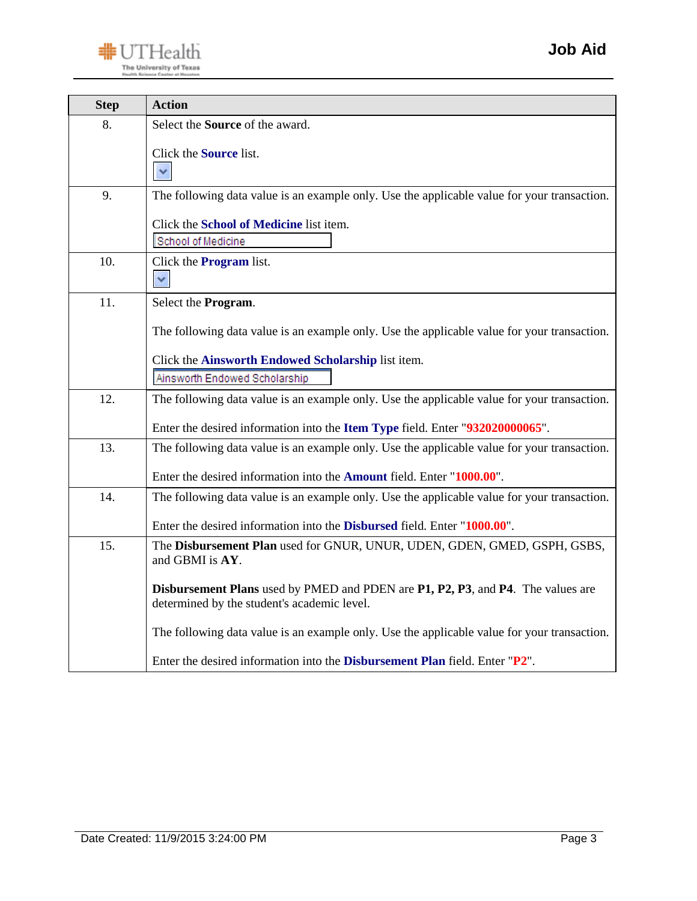

| <b>Step</b> | <b>Action</b>                                                                                                                  |
|-------------|--------------------------------------------------------------------------------------------------------------------------------|
| 8.          | Select the <b>Source</b> of the award.                                                                                         |
|             | Click the Source list.<br>$\checkmark$                                                                                         |
| 9.          | The following data value is an example only. Use the applicable value for your transaction.                                    |
|             | Click the School of Medicine list item.<br>School of Medicine                                                                  |
| 10.         | Click the <b>Program</b> list.<br>$\checkmark$                                                                                 |
| 11.         | Select the Program.                                                                                                            |
|             | The following data value is an example only. Use the applicable value for your transaction.                                    |
|             | Click the Ainsworth Endowed Scholarship list item.                                                                             |
|             | Ainsworth Endowed Scholarship                                                                                                  |
| 12.         | The following data value is an example only. Use the applicable value for your transaction.                                    |
|             | Enter the desired information into the Item Type field. Enter "932020000065".                                                  |
| 13.         | The following data value is an example only. Use the applicable value for your transaction.                                    |
|             | Enter the desired information into the <b>Amount</b> field. Enter "1000.00".                                                   |
| 14.         | The following data value is an example only. Use the applicable value for your transaction.                                    |
|             | Enter the desired information into the <b>Disbursed</b> field. Enter "1000.00".                                                |
| 15.         | The Disbursement Plan used for GNUR, UNUR, UDEN, GDEN, GMED, GSPH, GSBS,<br>and GBMI is AY.                                    |
|             | Disbursement Plans used by PMED and PDEN are P1, P2, P3, and P4. The values are<br>determined by the student's academic level. |
|             | The following data value is an example only. Use the applicable value for your transaction.                                    |
|             | Enter the desired information into the Disbursement Plan field. Enter "P2".                                                    |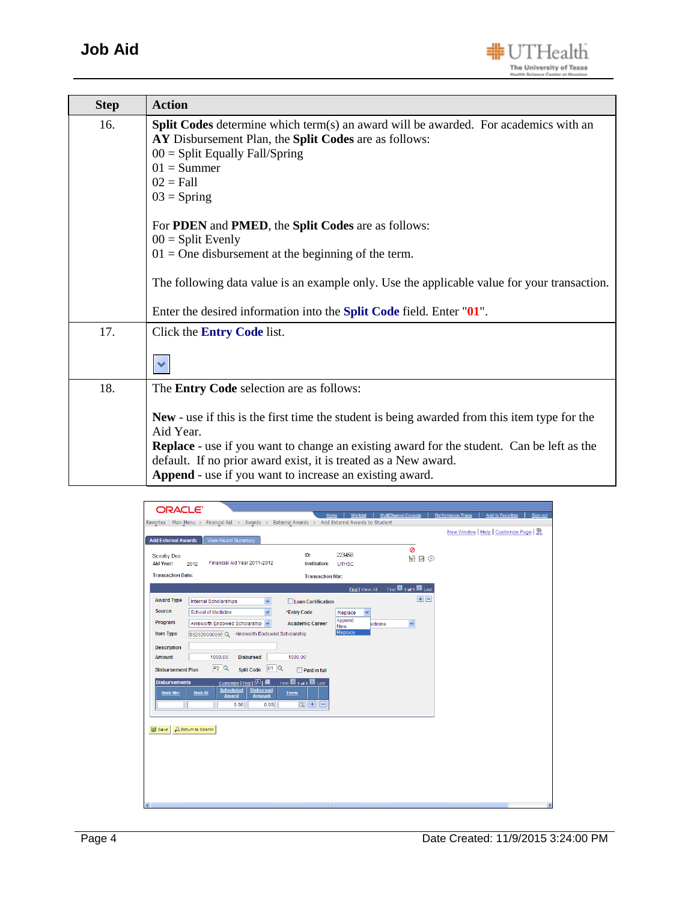

| <b>Step</b> | <b>Action</b>                                                                                                                                                                                                                                                                                                                                      |
|-------------|----------------------------------------------------------------------------------------------------------------------------------------------------------------------------------------------------------------------------------------------------------------------------------------------------------------------------------------------------|
| 16.         | <b>Split Codes</b> determine which term(s) an award will be awarded. For academics with an<br>AY Disbursement Plan, the Split Codes are as follows:<br>$00 =$ Split Equally Fall/Spring<br>$01 =$ Summer<br>$02 = Fall$<br>$03 =$ Spring                                                                                                           |
|             | For <b>PDEN</b> and <b>PMED</b> , the <b>Split Codes</b> are as follows:                                                                                                                                                                                                                                                                           |
|             | $00 = Split$ Evenly<br>$01 =$ One disbursement at the beginning of the term.                                                                                                                                                                                                                                                                       |
|             | The following data value is an example only. Use the applicable value for your transaction.                                                                                                                                                                                                                                                        |
|             | Enter the desired information into the <b>Split Code</b> field. Enter "01".                                                                                                                                                                                                                                                                        |
| 17.         | Click the <b>Entry Code</b> list.                                                                                                                                                                                                                                                                                                                  |
| 18.         | The Entry Code selection are as follows:                                                                                                                                                                                                                                                                                                           |
|             | New - use if this is the first time the student is being awarded from this item type for the<br>Aid Year.<br><b>Replace</b> - use if you want to change an existing award for the student. Can be left as the<br>default. If no prior award exist, it is treated as a New award.<br><b>Append</b> - use if you want to increase an existing award. |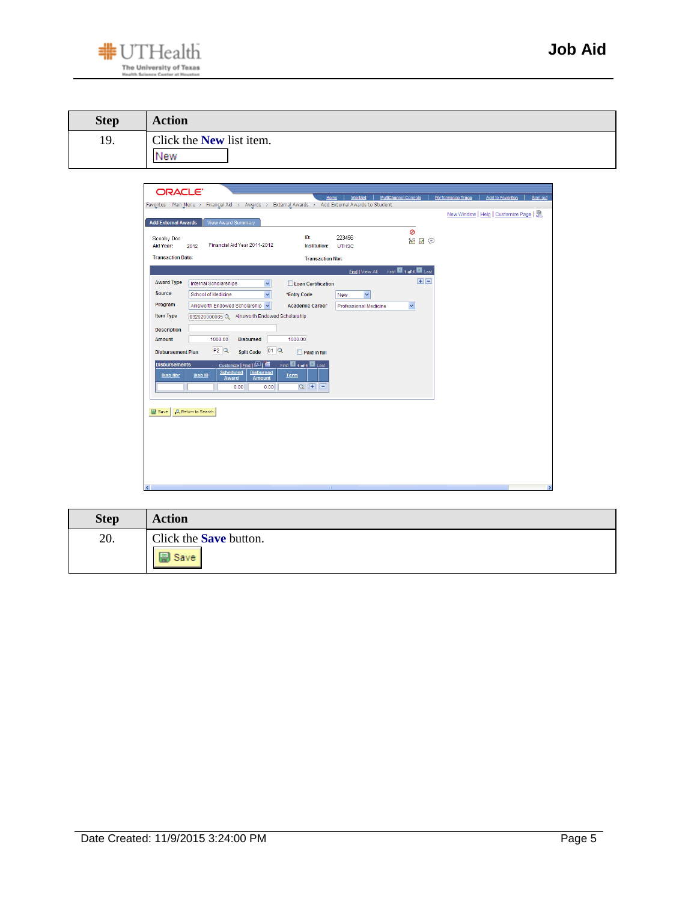

| <b>Step</b> | <b>Action</b>                          |
|-------------|----------------------------------------|
| 19.         | Click the <b>New</b> list item.<br>New |

| <b>Add External Awards</b>       | <b>View Award Summary</b>                                                                                            |                                    |                              | ø                 | New Window   Help   Customize Page |  |
|----------------------------------|----------------------------------------------------------------------------------------------------------------------|------------------------------------|------------------------------|-------------------|------------------------------------|--|
| Scooby Doo<br>Aid Year:          | Financial Aid Year 2011-2012<br>2012                                                                                 | ID:<br>Institution:                | 223456<br><b>UTHSC</b>       | MEP               |                                    |  |
| <b>Transaction Date:</b>         |                                                                                                                      | <b>Transaction Nbr:</b>            |                              |                   |                                    |  |
|                                  |                                                                                                                      |                                    | Find   View All              | First 1 of 1 Last |                                    |  |
| <b>Award Type</b>                | Internal Scholarships<br>$\checkmark$                                                                                | <b>Loan Certification</b>          |                              | 田田                |                                    |  |
| Source                           | School of Medicine<br>$\checkmark$                                                                                   | *Entry Code                        | $\checkmark$<br>New          |                   |                                    |  |
| Program                          | Ainsworth Endowed Scholarship                                                                                        | <b>Academic Career</b>             | <b>Professional Medicine</b> | $\checkmark$      |                                    |  |
| <b>Item Type</b>                 | 932020000065 Q Ainsworth Endowed Scholarship                                                                         |                                    |                              |                   |                                    |  |
| <b>Description</b>               |                                                                                                                      |                                    |                              |                   |                                    |  |
| <b>Amount</b>                    | 1000.00<br><b>Disbursed</b>                                                                                          | 1000.00                            |                              |                   |                                    |  |
| <b>Disbursement Plan</b>         | P2Q<br>01Q<br><b>Split Code</b>                                                                                      | $\Box$ Paid in full                |                              |                   |                                    |  |
| <b>Disbursements</b><br>Disb Nbr | Customize   Find   四   齟<br><b>Scheduled</b><br><b>Disbursed</b><br>DistID<br><b>Amount</b><br>Award<br>0.00<br>0.00 | First 1 of 1 Last<br>Term<br>Q H E |                              |                   |                                    |  |
| <b>D</b> Save                    | Q Return to Search                                                                                                   |                                    |                              |                   |                                    |  |
|                                  |                                                                                                                      |                                    |                              |                   |                                    |  |
|                                  |                                                                                                                      |                                    |                              |                   |                                    |  |
|                                  |                                                                                                                      |                                    |                              |                   |                                    |  |
|                                  |                                                                                                                      |                                    |                              |                   |                                    |  |

| <b>Step</b> | <b>Action</b>                 |
|-------------|-------------------------------|
| 20.         | Click the <b>Save</b> button. |
|             | EШ<br><b>Save</b>             |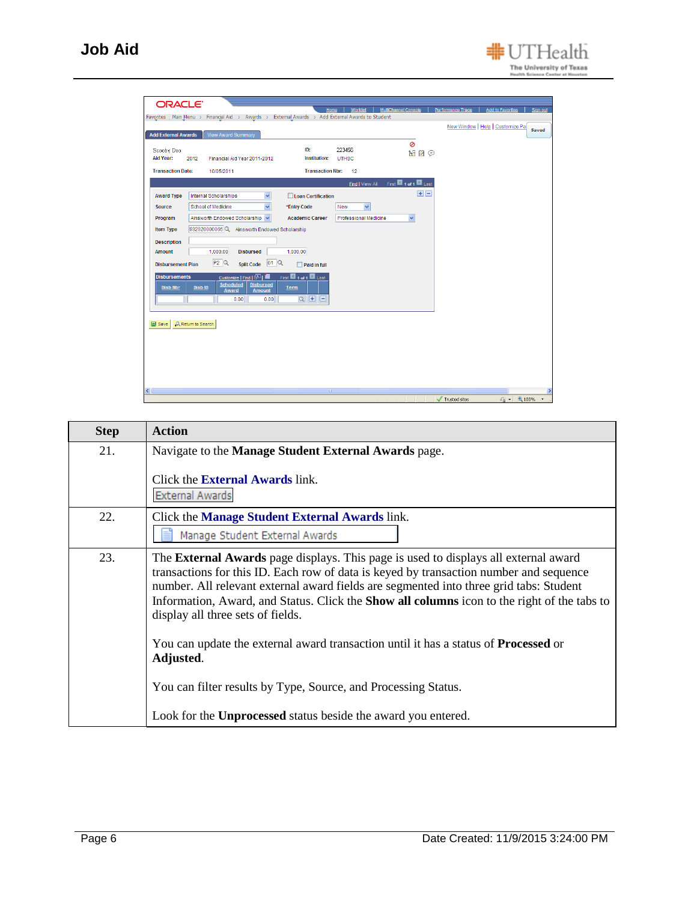

| <b>Step</b> | <b>Action</b>                                                                                                                                                                                                                                                                                                                                                                                                             |
|-------------|---------------------------------------------------------------------------------------------------------------------------------------------------------------------------------------------------------------------------------------------------------------------------------------------------------------------------------------------------------------------------------------------------------------------------|
| 21.         | Navigate to the Manage Student External Awards page.                                                                                                                                                                                                                                                                                                                                                                      |
|             | Click the <b>External Awards</b> link.<br><b>External Awards</b>                                                                                                                                                                                                                                                                                                                                                          |
| 22.         | Click the <b>Manage Student External Awards</b> link.<br>Manage Student External Awards                                                                                                                                                                                                                                                                                                                                   |
| 23.         | The <b>External Awards</b> page displays. This page is used to displays all external award<br>transactions for this ID. Each row of data is keyed by transaction number and sequence<br>number. All relevant external award fields are segmented into three grid tabs: Student<br>Information, Award, and Status. Click the <b>Show all columns</b> icon to the right of the tabs to<br>display all three sets of fields. |
|             | You can update the external award transaction until it has a status of <b>Processed</b> or<br>Adjusted.                                                                                                                                                                                                                                                                                                                   |
|             | You can filter results by Type, Source, and Processing Status.                                                                                                                                                                                                                                                                                                                                                            |
|             | Look for the <b>Unprocessed</b> status beside the award you entered.                                                                                                                                                                                                                                                                                                                                                      |

#UTHealth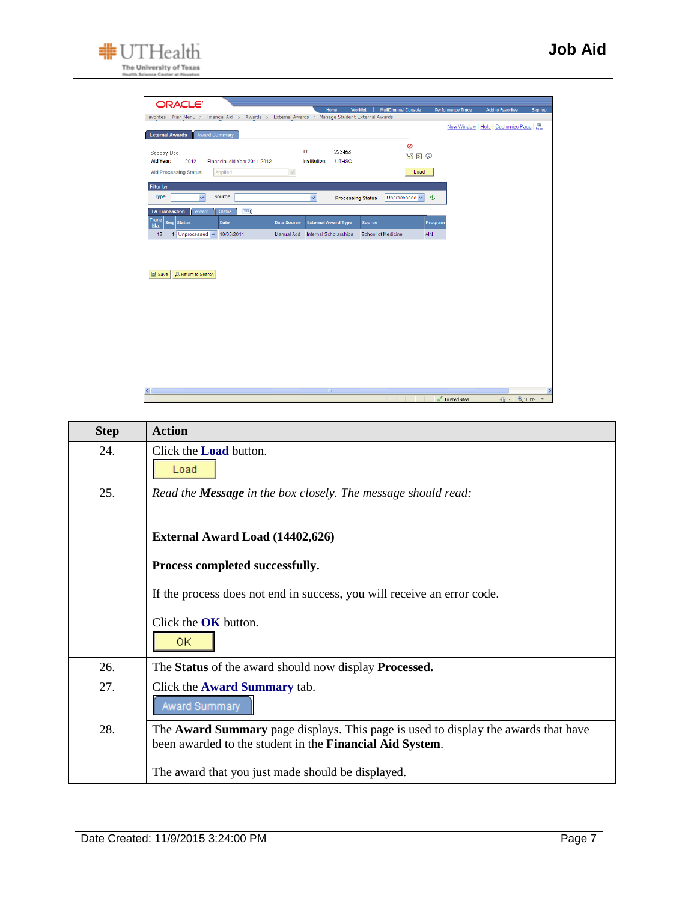

| <b>ORACLE</b>                                                                                                                                                    | Home                                                                                    | Worklist<br><b>MultiChannel Console</b> | Performance Trace<br><b>Add to Favorites</b><br>Sign out |
|------------------------------------------------------------------------------------------------------------------------------------------------------------------|-----------------------------------------------------------------------------------------|-----------------------------------------|----------------------------------------------------------|
| Favorites   Main Menu > Financial Aid > Awards > External Awards > Manage Student External Awards                                                                |                                                                                         |                                         | New Window   Help   Customize Page                       |
| Award Summary<br><b>External Awards</b>                                                                                                                          |                                                                                         |                                         |                                                          |
| Scooby Doo<br>Aid Year:<br>Financial Aid Year 2011-2012<br>2012<br><b>Aid Processing Status:</b><br>Applied                                                      | ID:<br>223456<br><b>Institution:</b><br><b>UTHSC</b><br>$\sim$                          | ø<br>MFO<br>Load                        |                                                          |
| <b>Filter by</b><br>Source<br><b>Type</b><br>$\checkmark$                                                                                                        | $\checkmark$<br><b>Processing Status</b>                                                | Unprocessed ~                           | Ą,                                                       |
| $\equiv$<br><b>EA Transaction</b><br><b>Status</b><br>Award<br><b>Trans</b><br>Seq<br><b>Status</b><br>Date<br><b>Nbr</b><br>13<br>1 Unprocessed v<br>10/05/2011 | <b>External Award Type</b><br><b>Data Source</b><br>Manual Add<br>Internal Scholarships | Source<br>School of Medicine            | Program<br>AIN                                           |
| Q Return to Search<br><b>B</b> Save                                                                                                                              |                                                                                         |                                         |                                                          |
| $\left\langle \right\rangle$                                                                                                                                     |                                                                                         |                                         | $\rightarrow$                                            |
|                                                                                                                                                                  |                                                                                         |                                         | $\frac{1}{2}$ - 2,100% -<br>Trusted sites                |

| <b>Step</b> | <b>Action</b>                                                                                                                                  |
|-------------|------------------------------------------------------------------------------------------------------------------------------------------------|
| 24.         | Click the <b>Load</b> button.<br>Load                                                                                                          |
|             |                                                                                                                                                |
| 25.         | Read the <b>Message</b> in the box closely. The message should read:                                                                           |
|             | <b>External Award Load (14402,626)</b>                                                                                                         |
|             | Process completed successfully.                                                                                                                |
|             | If the process does not end in success, you will receive an error code.                                                                        |
|             | Click the $OK$ button.                                                                                                                         |
|             | 0K.                                                                                                                                            |
| 26.         | The Status of the award should now display Processed.                                                                                          |
| 27.         | Click the <b>Award Summary</b> tab.<br>Award Summary                                                                                           |
| 28.         | The Award Summary page displays. This page is used to display the awards that have<br>been awarded to the student in the Financial Aid System. |
|             | The award that you just made should be displayed.                                                                                              |